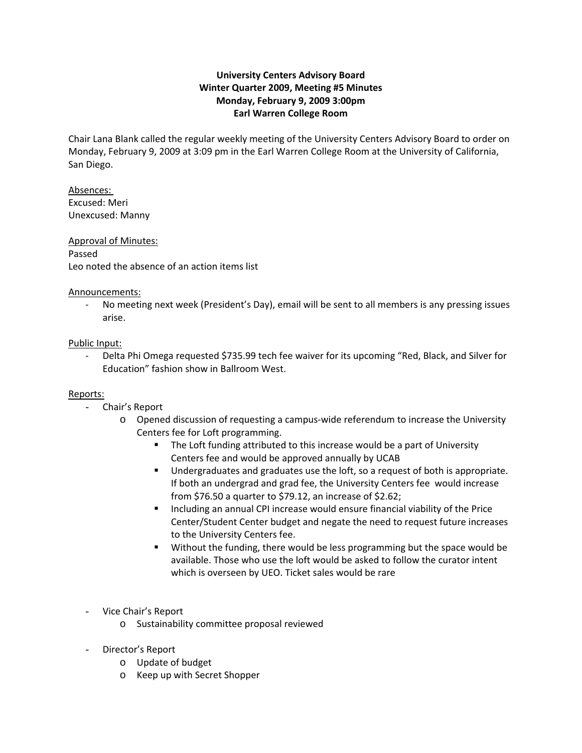# **University Centers Advisory Board Winter Quarter 2009, Meeting #5 Minutes Monday, February 9, 2009 3:00pm Earl Warren College Room**

Chair Lana Blank called the regular weekly meeting of the University Centers Advisory Board to order on Monday, February 9, 2009 at 3:09 pm in the Earl Warren College Room at the University of California, San Diego.

Absences: Excused: Meri Unexcused: Manny

# Approval of Minutes: Passed Leo noted the absence of an action items list

### Announcements:

‐ No meeting next week (President's Day), email will be sent to all members is any pressing issues arise.

# Public Input:

‐ Delta Phi Omega requested \$735.99 tech fee waiver for its upcoming "Red, Black, and Silver for Education" fashion show in Ballroom West.

### Reports:

- Chair's Report
	- o Opened discussion of requesting a campus‐wide referendum to increase the University Centers fee for Loft programming.
		- **The Loft funding attributed to this increase would be a part of University** Centers fee and would be approved annually by UCAB
		- **Undergraduates and graduates use the loft, so a request of both is appropriate.** If both an undergrad and grad fee, the University Centers fee would increase from \$76.50 a quarter to \$79.12, an increase of \$2.62;
		- **Including an annual CPI increase would ensure financial viability of the Price** Center/Student Center budget and negate the need to request future increases to the University Centers fee.
		- Without the funding, there would be less programming but the space would be available. Those who use the loft would be asked to follow the curator intent which is overseen by UEO. Ticket sales would be rare
- Vice Chair's Report
	- o Sustainability committee proposal reviewed
- Director's Report
	- o Update of budget
	- o Keep up with Secret Shopper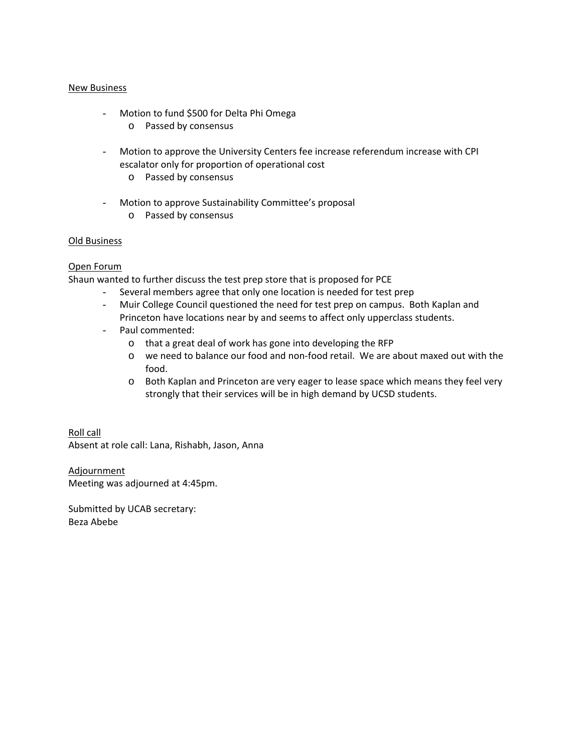#### New Business

- Motion to fund \$500 for Delta Phi Omega
	- o Passed by consensus
- Motion to approve the University Centers fee increase referendum increase with CPI escalator only for proportion of operational cost
	- o Passed by consensus
- Motion to approve Sustainability Committee's proposal o Passed by consensus

#### Old Business

### Open Forum

Shaun wanted to further discuss the test prep store that is proposed for PCE

- Several members agree that only one location is needed for test prep
- Muir College Council questioned the need for test prep on campus. Both Kaplan and Princeton have locations near by and seems to affect only upperclass students.
- Paul commented:
	- o that a great deal of work has gone into developing the RFP
	- o we need to balance our food and non‐food retail. We are about maxed out with the food.
	- o Both Kaplan and Princeton are very eager to lease space which means they feel very strongly that their services will be in high demand by UCSD students.

Roll call Absent at role call: Lana, Rishabh, Jason, Anna

Adjournment Meeting was adjourned at 4:45pm.

Submitted by UCAB secretary: Beza Abebe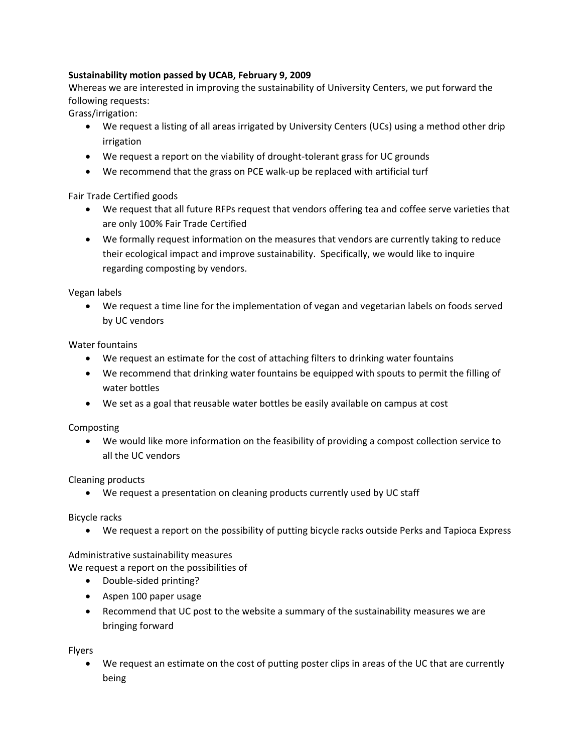# **Sustainability motion passed by UCAB, February 9, 2009**

Whereas we are interested in improving the sustainability of University Centers, we put forward the following requests:

Grass/irrigation:

- We request a listing of all areas irrigated by University Centers (UCs) using a method other drip irrigation
- We request a report on the viability of drought-tolerant grass for UC grounds
- We recommend that the grass on PCE walk‐up be replaced with artificial turf

Fair Trade Certified goods

- We request that all future RFPs request that vendors offering tea and coffee serve varieties that are only 100% Fair Trade Certified
- We formally request information on the measures that vendors are currently taking to reduce their ecological impact and improve sustainability. Specifically, we would like to inquire regarding composting by vendors.

Vegan labels

• We request a time line for the implementation of vegan and vegetarian labels on foods served by UC vendors

Water fountains

- We request an estimate for the cost of attaching filters to drinking water fountains
- We recommend that drinking water fountains be equipped with spouts to permit the filling of water bottles
- We set as a goal that reusable water bottles be easily available on campus at cost

Composting

• We would like more information on the feasibility of providing a compost collection service to all the UC vendors

Cleaning products

• We request a presentation on cleaning products currently used by UC staff

Bicycle racks

• We request a report on the possibility of putting bicycle racks outside Perks and Tapioca Express

Administrative sustainability measures

We request a report on the possibilities of

- Double‐sided printing?
- Aspen 100 paper usage
- Recommend that UC post to the website a summary of the sustainability measures we are bringing forward

Flyers

• We request an estimate on the cost of putting poster clips in areas of the UC that are currently being